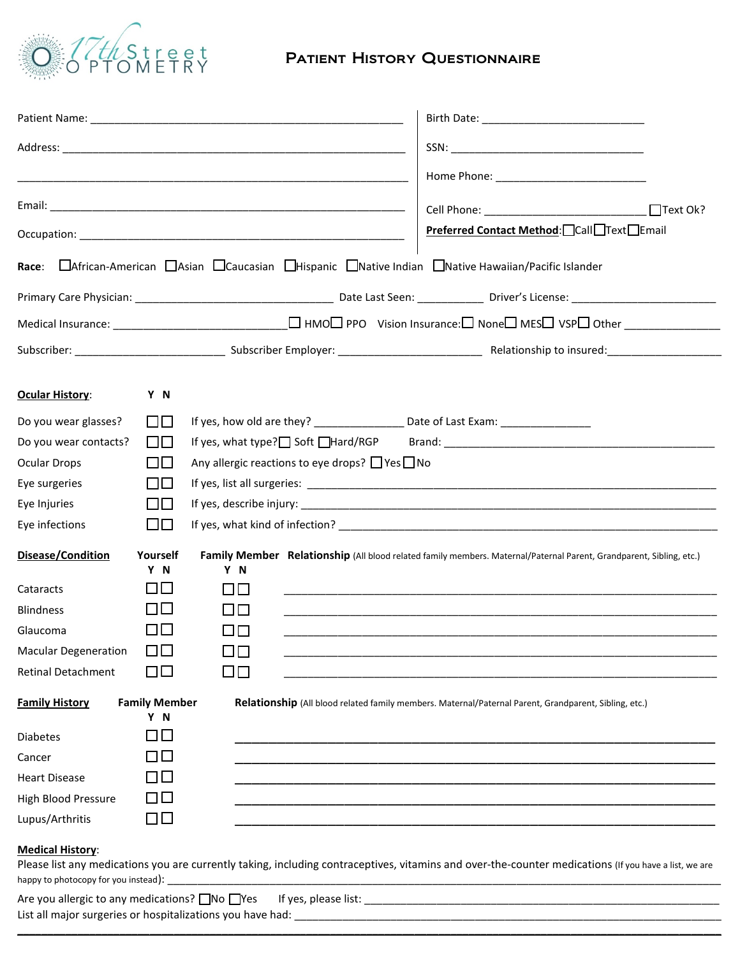

# Patient History Questionnaire

|                             |                             |               |                                                           |  | $\Box$ Text Ok?                                                                                                       |  |  |  |
|-----------------------------|-----------------------------|---------------|-----------------------------------------------------------|--|-----------------------------------------------------------------------------------------------------------------------|--|--|--|
|                             |                             |               |                                                           |  | Preferred Contact Method: Call Text Email                                                                             |  |  |  |
| Race:                       |                             |               |                                                           |  | □ African-American □ Asian □ Caucasian □ Hispanic □ Native Indian □ Native Hawaiian/Pacific Islander                  |  |  |  |
|                             |                             |               |                                                           |  |                                                                                                                       |  |  |  |
|                             |                             |               |                                                           |  |                                                                                                                       |  |  |  |
|                             |                             |               |                                                           |  |                                                                                                                       |  |  |  |
|                             |                             |               |                                                           |  |                                                                                                                       |  |  |  |
| <b>Ocular History:</b>      | Y N                         |               |                                                           |  |                                                                                                                       |  |  |  |
| Do you wear glasses?        | $\Box\Box$                  |               |                                                           |  | If yes, how old are they? ___________________ Date of Last Exam: _______________                                      |  |  |  |
| Do you wear contacts?       | $\Box\Box$                  |               |                                                           |  | If yes, what type? $\Box$ Soft $\Box$ Hard/RGP Brand:                                                                 |  |  |  |
| <b>Ocular Drops</b>         | $\Box$                      |               | Any allergic reactions to eye drops? $\Box$ Yes $\Box$ No |  |                                                                                                                       |  |  |  |
| Eye surgeries               | $\Box$                      |               |                                                           |  |                                                                                                                       |  |  |  |
| Eye Injuries                | $\Box$                      |               |                                                           |  |                                                                                                                       |  |  |  |
| Eye infections              | $\Box$                      |               |                                                           |  |                                                                                                                       |  |  |  |
| Disease/Condition           | Yourself<br>Y N             | Y N           |                                                           |  | Family Member Relationship (All blood related family members. Maternal/Paternal Parent, Grandparent, Sibling, etc.)   |  |  |  |
| Cataracts                   | பப                          | $\Box$ $\Box$ |                                                           |  | <u> 1989 - Johann Harry Harry Harry Harry Harry Harry Harry Harry Harry Harry Harry Harry Harry Harry Harry Harry</u> |  |  |  |
| <b>Blindness</b>            | I ILI                       | 00            |                                                           |  |                                                                                                                       |  |  |  |
| Glaucoma                    | $\Box$                      | $\Box$ $\Box$ |                                                           |  |                                                                                                                       |  |  |  |
| <b>Macular Degeneration</b> | $\Box$                      | $\Box$        |                                                           |  |                                                                                                                       |  |  |  |
| <b>Retinal Detachment</b>   | ПU                          | $\square$     |                                                           |  |                                                                                                                       |  |  |  |
| <b>Family History</b>       | <b>Family Member</b><br>Y N |               |                                                           |  | Relationship (All blood related family members. Maternal/Paternal Parent, Grandparent, Sibling, etc.)                 |  |  |  |
| <b>Diabetes</b>             | $\Box$ $\Box$               |               |                                                           |  |                                                                                                                       |  |  |  |
| Cancer                      | <b>TILL</b>                 |               |                                                           |  |                                                                                                                       |  |  |  |
| <b>Heart Disease</b>        | $\Box$                      |               |                                                           |  |                                                                                                                       |  |  |  |
| High Blood Pressure         | $\Box$                      |               |                                                           |  |                                                                                                                       |  |  |  |
| Lupus/Arthritis             | $\square$                   |               |                                                           |  |                                                                                                                       |  |  |  |
| <b>Medical History:</b>     |                             |               |                                                           |  |                                                                                                                       |  |  |  |

Please list any medications you are currently taking, including contraceptives, vitamins and over-the-counter medications (If you have a list, we are happy to photocopy for you instead): \_

| Are you allergic to any medications? $\Box$ No $\Box$ Yes If yes, please list: |  |  |  |  |  |  |
|--------------------------------------------------------------------------------|--|--|--|--|--|--|
| List all major surgeries or hospitalizations you have had:                     |  |  |  |  |  |  |

**\_\_\_\_\_\_\_\_\_\_\_\_\_\_\_\_\_\_\_\_\_\_\_\_\_\_\_\_\_\_\_\_\_\_\_\_\_\_\_\_\_\_\_\_\_\_\_\_\_\_\_\_\_\_\_\_\_\_\_\_\_\_\_\_\_\_\_\_\_\_\_\_\_\_\_\_\_\_\_\_\_\_\_\_\_\_\_\_\_\_\_\_\_\_\_\_\_\_\_\_\_\_\_\_\_\_\_\_\_\_\_\_\_\_\_\_\_**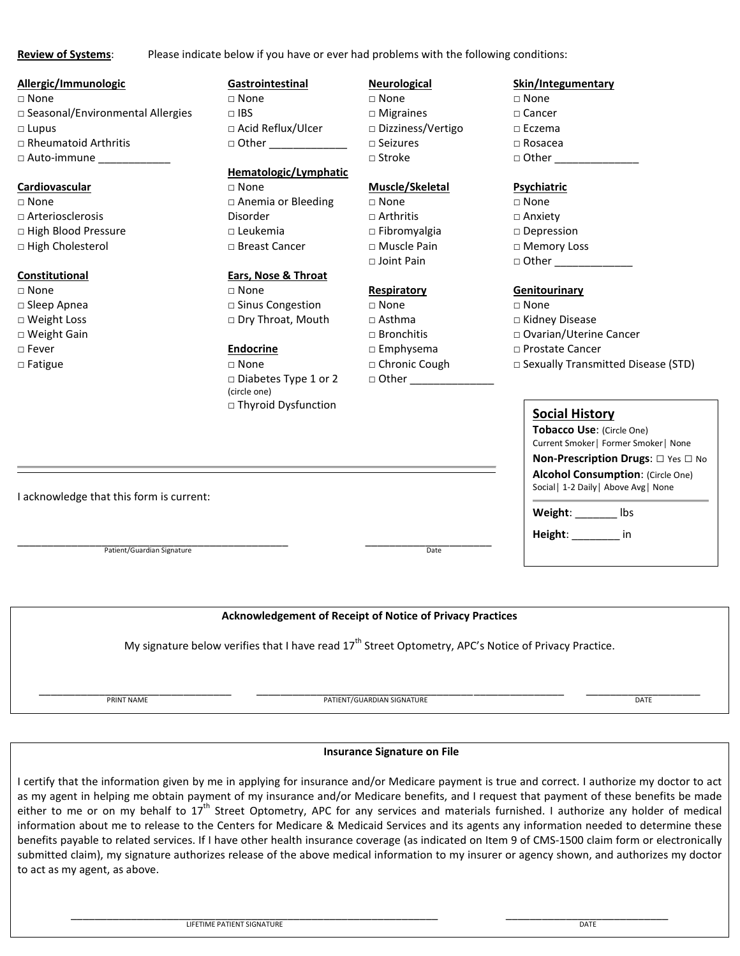**Review of Systems**: Please indicate below if you have or ever had problems with the following conditions:

### **Allergic/Immunologic**

□ None □ Seasonal/Environmental Allergies □ Lupus □ Rheumatoid Arthritis □ Auto-immune

#### **Cardiovascular**

□ None □ Arteriosclerosis □ High Blood Pressure □ High Cholesterol

#### **Constitutional**

□ None □ Sleep Apnea □ Weight Loss □ Weight Gain □ Fever □ Fatigue

## **Gastrointestinal**

□ None  $□$  IBS □ Acid Reflux/Ulcer  $\Box$  Other

## **Hematologic/Lymphatic**

□ None □ Anemia or Bleeding Disorder □ Leukemia □ Breast Cancer

## **Ears, Nose & Throat**

□ None □ Sinus Congestion □ Dry Throat, Mouth

#### **Endocrine**

□ None □ Diabetes Type 1 or 2 (circle one) □ Thyroid Dysfunction

## **Neurological**

- □ None □ Migraines □ Dizziness/Vertigo □ Seizures
- □ Stroke

#### **Muscle/Skeletal**

 $\sqcap$  None  $\sqcap$  Arthritis □ Fibromyalgia □ Muscle Pain □ Joint Pain

#### **Respiratory**

□ None  $\Box$  Asthma □ Bronchitis □ Emphysema □ Chronic Cough  $\Box$  Other

#### **Skin/Integumentary**

- □ None
- □ Cancer
- □ Eczema
- □ Rosacea
- $\Box$  Other

#### **Psychiatric**

□ None □ Anxiety □ Depression □ Memory Loss  $\Box$  Other

#### **Genitourinary**

- □ None
- □ Kidney Disease
- □ Ovarian/Uterine Cancer
- □ Prostate Cancer
- □ Sexually Transmitted Disease (STD)

| <b>Social History</b>            |                                                                                    |
|----------------------------------|------------------------------------------------------------------------------------|
| <b>Tobacco Use: (Circle One)</b> |                                                                                    |
|                                  | Current Smoker   Former Smoker   None<br><b>Non-Prescription Drugs:</b> □ Yes □ No |
|                                  | <b>Alcohol Consumption: (Circle One)</b>                                           |
|                                  | Social   1-2 Daily   Above Avg   None                                              |
| Weight:                          | Ihς                                                                                |

**Height**: \_\_\_\_\_\_\_\_ in

I acknowledge that this form is current:

\_\_\_\_\_\_\_\_\_\_\_\_\_\_\_\_\_\_\_\_\_\_\_\_\_\_\_\_\_\_\_\_\_\_\_\_\_\_\_\_\_\_\_\_\_ \_\_\_\_\_\_\_\_\_\_\_\_\_\_\_\_\_\_\_\_\_ Patient/Guardian Signature Date

**Acknowledgement of Receipt of Notice of Privacy Practices**

My signature below verifies that I have read 17<sup>th</sup> Street Optometry, APC's Notice of Privacy Practice.

\_\_\_\_\_\_\_\_\_\_\_\_\_\_\_\_\_\_\_\_\_\_\_\_\_\_\_\_\_\_\_\_ \_\_\_\_\_\_\_\_\_\_\_\_\_\_\_\_\_\_\_\_\_\_\_\_\_\_\_\_\_\_\_\_\_\_\_\_\_\_\_\_\_\_\_\_\_\_\_\_\_\_\_ \_\_\_\_\_\_\_\_\_\_\_\_\_\_\_\_\_\_\_ PRINT NAME PATIENT/GUARDIAN SIGNATURE DATE

#### **Insurance Signature on File**

I certify that the information given by me in applying for insurance and/or Medicare payment is true and correct. I authorize my doctor to act as my agent in helping me obtain payment of my insurance and/or Medicare benefits, and I request that payment of these benefits be made either to me or on my behalf to  $17^{th}$  Street Optometry, APC for any services and materials furnished. I authorize any holder of medical information about me to release to the Centers for Medicare & Medicaid Services and its agents any information needed to determine these benefits payable to related services. If I have other health insurance coverage (as indicated on Item 9 of CMS-1500 claim form or electronically submitted claim), my signature authorizes release of the above medical information to my insurer or agency shown, and authorizes my doctor to act as my agent, as above.

\_\_\_\_\_\_\_\_\_\_\_\_\_\_\_\_\_\_\_\_\_\_\_\_\_\_\_\_\_\_\_\_\_\_\_\_\_\_\_\_\_\_\_\_\_\_\_\_\_\_\_\_\_\_\_\_\_\_\_\_\_ \_\_\_\_\_\_\_\_\_\_\_\_\_\_\_\_\_\_\_\_\_\_\_\_\_\_\_ LIFETIME PATIENT SIGNATURE DATE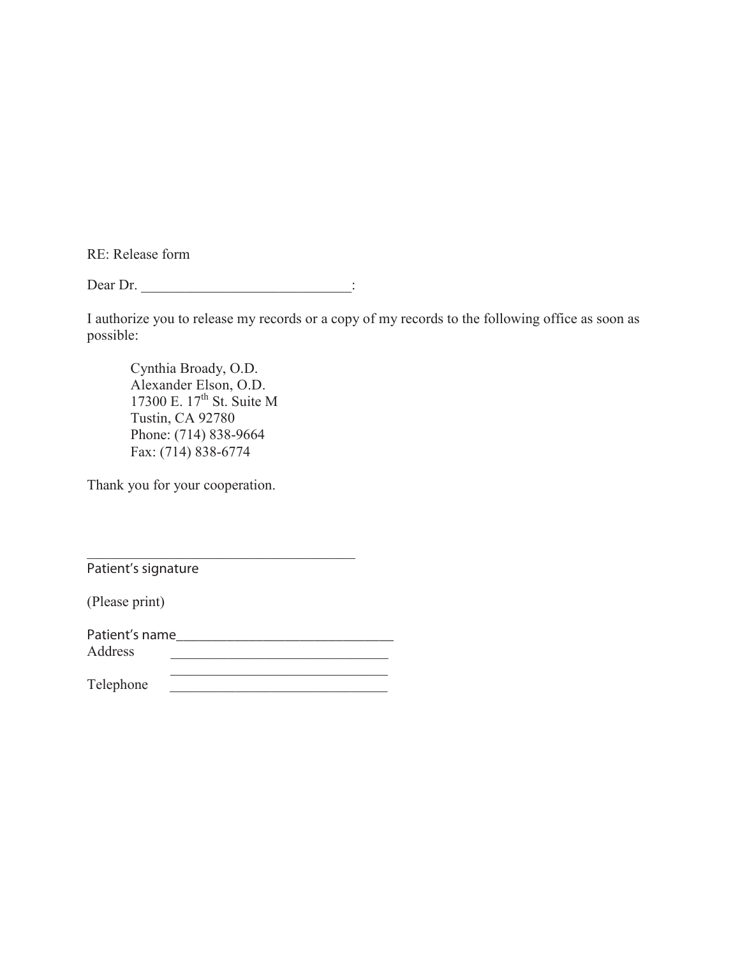RE: Release form

Dear Dr. \_\_\_\_\_\_\_\_\_\_\_\_\_\_\_\_\_\_\_\_\_\_\_\_\_\_\_\_\_:

I authorize you to release my records or a copy of my records to the following office as soon as possible:

Cynthia Broady, O.D. Alexander Elson, O.D. 17300 E. 17<sup>th</sup> St. Suite M Tustin, CA 92780 Phone: (714) 838-9664 Fax: (714) 838-6774

Thank you for your cooperation.

Patient's signature

(Please print)

| Patient's name |  |  |
|----------------|--|--|
| Address        |  |  |
|                |  |  |

 $\mathcal{L}_\text{max}$ 

Telephone \_\_\_\_\_\_\_\_\_\_\_\_\_\_\_\_\_\_\_\_\_\_\_\_\_\_\_\_\_\_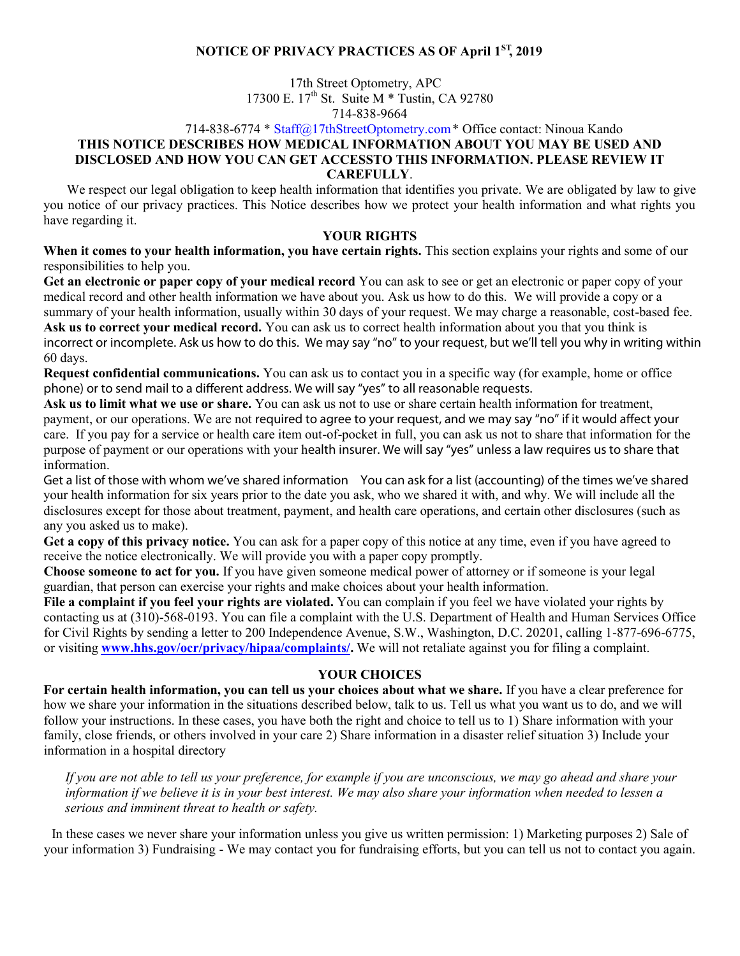## **NOTICE OF PRIVACY PRACTICES AS OF April 1ST , 2019**

17th Street Optometry, APC 17300 E. 17<sup>th</sup> St. Suite M \* Tustin, CA 92780 714-838-9664

## 714-838-6774 \* [Staff@17thStreetOpt](mailto:staff@drbroady.com)ometry.com\* Office contact: Ninoua Kando **THIS NOTICE DESCRIBES HOW MEDICAL INFORMATION ABOUT YOU MAY BE USED AND DISCLOSED AND HOW YOU CAN GET ACCESSTO THIS INFORMATION. PLEASE REVIEW IT CAREFULLY**.

We respect our legal obligation to keep health information that identifies you private. We are obligated by law to give you notice of our privacy practices. This Notice describes how we protect your health information and what rights you have regarding it.

## **YOUR RIGHTS**

**When it comes to your health information, you have certain rights.** This section explains your rights and some of our responsibilities to help you.

**Get an electronic or paper copy of your medical record** You can ask to see or get an electronic or paper copy of your medical record and other health information we have about you. Ask us how to do this. We will provide a copy or a summary of your health information, usually within 30 days of your request. We may charge a reasonable, cost-based fee. **Ask us to correct your medical record.** You can ask us to correct health information about you that you think is incorrect or incomplete. Ask us how to do this. We may say "no" to your request, but we'll tell you why in writing within 60 days.

**Request confidential communications.** You can ask us to contact you in a specific way (for example, home or office phone) or to send mail to a different address. We will say "yes" to all reasonable requests.

**Ask us to limit what we use or share.** You can ask us not to use or share certain health information for treatment, payment, or our operations. We are not required to agree to your request, and we may say "no" if it would affect your care. If you pay for a service or health care item out-of-pocket in full, you can ask us not to share that information for the purpose of payment or our operations with your health insurer. We will say "yes" unless a law requires us to share that information.

**Get a list of those with whom we've shared information** You can ask for a list (accounting) of the times we've shared your health information for six years prior to the date you ask, who we shared it with, and why. We will include all the disclosures except for those about treatment, payment, and health care operations, and certain other disclosures (such as any you asked us to make).

**Get a copy of this privacy notice.** You can ask for a paper copy of this notice at any time, even if you have agreed to receive the notice electronically. We will provide you with a paper copy promptly.

**Choose someone to act for you.** If you have given someone medical power of attorney or if someone is your legal guardian, that person can exercise your rights and make choices about your health information.

**File a complaint if you feel your rights are violated.** You can complain if you feel we have violated your rights by contacting us at (310)-568-0193. You can file a complaint with the U.S. Department of Health and Human Services Office for Civil Rights by sending a letter to 200 Independence Avenue, S.W., Washington, D.C. 20201, calling 1-877-696-6775, or visiting **[www.hhs.gov/ocr/privacy/hipaa/complaints/.](http://www.hhs.gov/ocr/privacy/hipaa/complaints/)** We will not retaliate against you for filing a complaint.

## **YOUR CHOICES**

**For certain health information, you can tell us your choices about what we share.** If you have a clear preference for how we share your information in the situations described below, talk to us. Tell us what you want us to do, and we will follow your instructions. In these cases, you have both the right and choice to tell us to 1) Share information with your family, close friends, or others involved in your care 2) Share information in a disaster relief situation 3) Include your information in a hospital directory

*If you are not able to tell us your preference, for example if you are unconscious, we may go ahead and share your information if we believe it is in your best interest. We may also share your information when needed to lessen a serious and imminent threat to health or safety.*

In these cases we never share your information unless you give us written permission: 1) Marketing purposes 2) Sale of your information 3) Fundraising - We may contact you for fundraising efforts, but you can tell us not to contact you again.